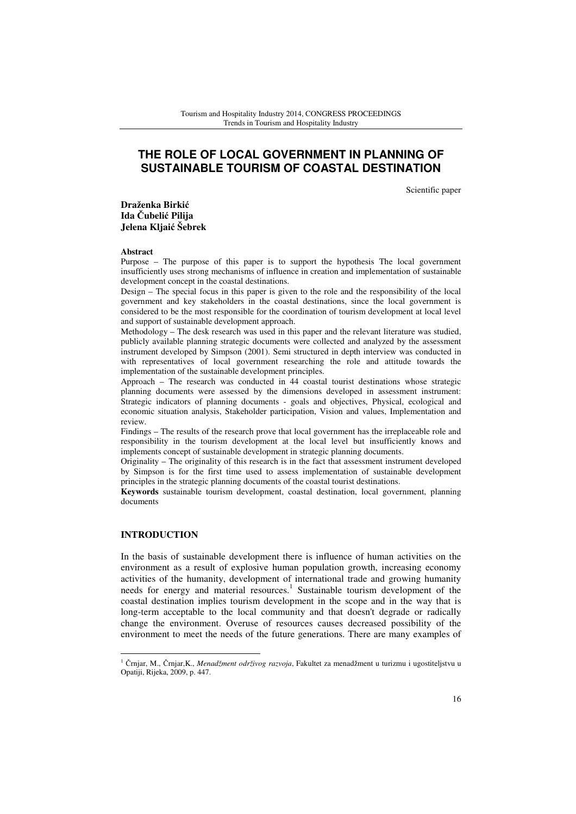# **THE ROLE OF LOCAL GOVERNMENT IN PLANNING OF SUSTAINABLE TOURISM OF COASTAL DESTINATION**

Scientific paper

**Draženka Birki**ć **Ida** Č**ubeli**ć **Pilija Jelena Kljai**ć **Šebrek** 

#### **Abstract**

Purpose – The purpose of this paper is to support the hypothesis The local government insufficiently uses strong mechanisms of influence in creation and implementation of sustainable development concept in the coastal destinations.

Design – The special focus in this paper is given to the role and the responsibility of the local government and key stakeholders in the coastal destinations, since the local government is considered to be the most responsible for the coordination of tourism development at local level and support of sustainable development approach.

Methodology – The desk research was used in this paper and the relevant literature was studied, publicly available planning strategic documents were collected and analyzed by the assessment instrument developed by Simpson (2001). Semi structured in depth interview was conducted in with representatives of local government researching the role and attitude towards the implementation of the sustainable development principles.

Approach – The research was conducted in 44 coastal tourist destinations whose strategic planning documents were assessed by the dimensions developed in assessment instrument: Strategic indicators of planning documents - goals and objectives, Physical, ecological and economic situation analysis, Stakeholder participation, Vision and values, Implementation and review.

Findings – The results of the research prove that local government has the irreplaceable role and responsibility in the tourism development at the local level but insufficiently knows and implements concept of sustainable development in strategic planning documents.

Originality – The originality of this research is in the fact that assessment instrument developed by Simpson is for the first time used to assess implementation of sustainable development principles in the strategic planning documents of the coastal tourist destinations.

**Keywords** sustainable tourism development, coastal destination, local government, planning documents

### **INTRODUCTION**

l

In the basis of sustainable development there is influence of human activities on the environment as a result of explosive human population growth, increasing economy activities of the humanity, development of international trade and growing humanity needs for energy and material resources.<sup>1</sup> Sustainable tourism development of the coastal destination implies tourism development in the scope and in the way that is long-term acceptable to the local community and that doesn't degrade or radically change the environment. Overuse of resources causes decreased possibility of the environment to meet the needs of the future generations. There are many examples of

<sup>1</sup> Črnjar, M., Črnjar,K., *Menadžment održivog razvoja*, Fakultet za menadžment u turizmu i ugostiteljstvu u Opatiji, Rijeka, 2009, p. 447.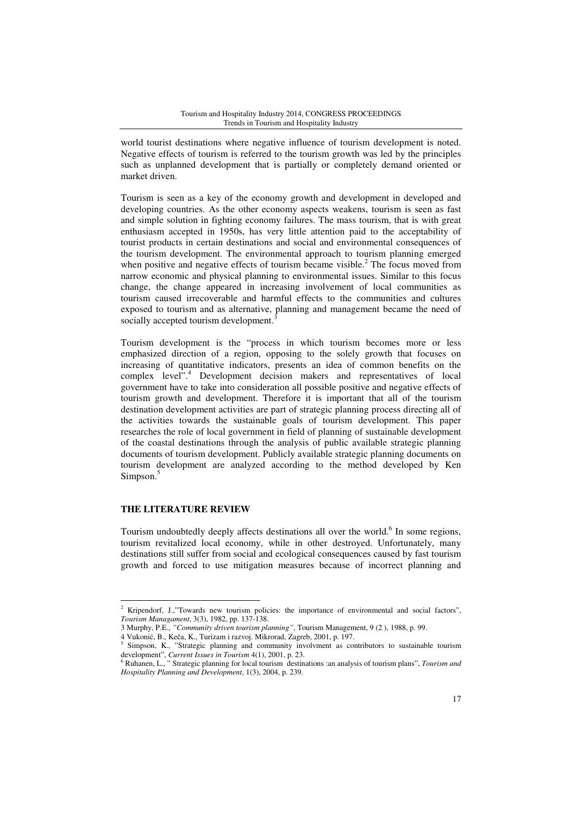world tourist destinations where negative influence of tourism development is noted. Negative effects of tourism is referred to the tourism growth was led by the principles such as unplanned development that is partially or completely demand oriented or market driven.

Tourism is seen as a key of the economy growth and development in developed and developing countries. As the other economy aspects weakens, tourism is seen as fast and simple solution in fighting economy failures. The mass tourism, that is with great enthusiasm accepted in 1950s, has very little attention paid to the acceptability of tourist products in certain destinations and social and environmental consequences of the tourism development. The environmental approach to tourism planning emerged when positive and negative effects of tourism became visible.<sup>2</sup> The focus moved from narrow economic and physical planning to environmental issues. Similar to this focus change, the change appeared in increasing involvement of local communities as tourism caused irrecoverable and harmful effects to the communities and cultures exposed to tourism and as alternative, planning and management became the need of socially accepted tourism development.<sup>3</sup>

Tourism development is the "process in which tourism becomes more or less emphasized direction of a region, opposing to the solely growth that focuses on increasing of quantitative indicators, presents an idea of common benefits on the complex level".<sup>4</sup> Development decision makers and representatives of local government have to take into consideration all possible positive and negative effects of tourism growth and development. Therefore it is important that all of the tourism destination development activities are part of strategic planning process directing all of the activities towards the sustainable goals of tourism development. This paper researches the role of local government in field of planning of sustainable development of the coastal destinations through the analysis of public available strategic planning documents of tourism development. Publicly available strategic planning documents on tourism development are analyzed according to the method developed by Ken Simpson.<sup>5</sup>

### **THE LITERATURE REVIEW**

Tourism undoubtedly deeply affects destinations all over the world.<sup>6</sup> In some regions, tourism revitalized local economy, while in other destroyed. Unfortunately, many destinations still suffer from social and ecological consequences caused by fast tourism growth and forced to use mitigation measures because of incorrect planning and

 2 Kripendorf, J.,"Towards new tourism policies: the importance of environmental and social factors", *Tourism Managament*, 3(3), 1982, pp. 137-138.

<sup>3</sup> Murphy, P.E., *"Community driven tourism planning"*, Tourism Management, 9 (2 ), 1988, p. 99.

<sup>4</sup> Vukonić, B., Keča, K., Turizam i razvoj. Mikrorad, Zagreb, 2001, p. 197. 5

Simpson, K., "Strategic planning and community involvment as contributors to sustainable tourism development", *Current Issues in Tourism* 4(1), 2001, p. 23.

<sup>6</sup> Ruhanen, L., " Strategic planning for local tourism destinations :an analysis of tourism plans", *Tourism and Hospitality Planning and Development*, 1(3), 2004, p. 239.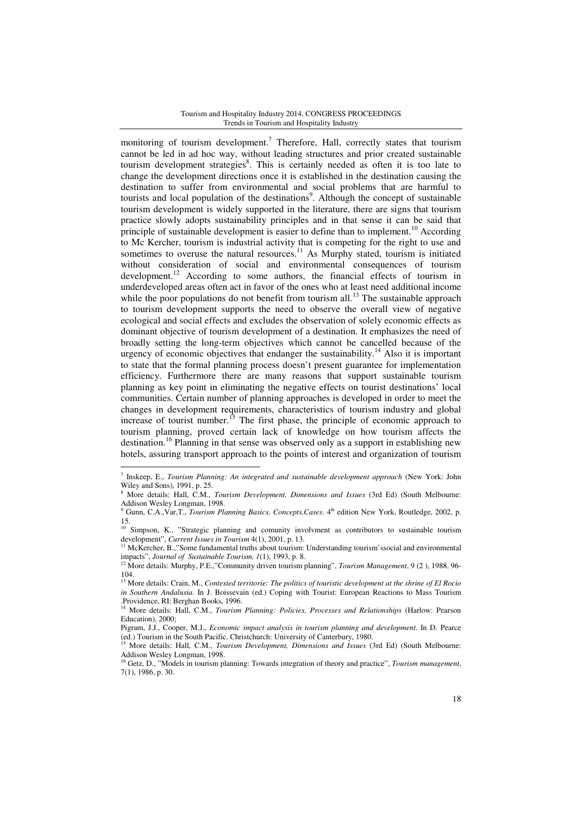monitoring of tourism development.<sup>7</sup> Therefore, Hall, correctly states that tourism cannot be led in ad hoc way, without leading structures and prior created sustainable tourism development strategies<sup>8</sup>. This is certainly needed as often it is too late to change the development directions once it is established in the destination causing the destination to suffer from environmental and social problems that are harmful to tourists and local population of the destinations<sup>9</sup>. Although the concept of sustainable tourism development is widely supported in the literature, there are signs that tourism practice slowly adopts sustainability principles and in that sense it can be said that principle of sustainable development is easier to define than to implement.<sup>10</sup> According to Mc Kercher, tourism is industrial activity that is competing for the right to use and sometimes to overuse the natural resources.<sup>11</sup> As Murphy stated, tourism is initiated without consideration of social and environmental consequences of tourism development.<sup>12</sup> According to some authors, the financial effects of tourism in underdeveloped areas often act in favor of the ones who at least need additional income while the poor populations do not benefit from tourism all.<sup>13</sup> The sustainable approach to tourism development supports the need to observe the overall view of negative ecological and social effects and excludes the observation of solely economic effects as dominant objective of tourism development of a destination. It emphasizes the need of broadly setting the long-term objectives which cannot be cancelled because of the urgency of economic objectives that endanger the sustainability.<sup>14</sup> Also it is important to state that the formal planning process doesn't present guarantee for implementation efficiency. Furthermore there are many reasons that support sustainable tourism planning as key point in eliminating the negative effects on tourist destinations' local communities. Certain number of planning approaches is developed in order to meet the changes in development requirements, characteristics of tourism industry and global increase of tourist number.<sup>15</sup> The first phase, the principle of economic approach to tourism planning, proved certain lack of knowledge on how tourism affects the destination.<sup>16</sup> Planning in that sense was observed only as a support in establishing new hotels, assuring transport approach to the points of interest and organization of tourism

 $\overline{\phantom{a}}$ 

<sup>7</sup> Inskeep, E., *Tourism Planning: An integrated and sustainable development approach* (New York: John Wiley and Sons), 1991, p. 25.

<sup>8</sup> More details: Hall, C.M., *Tourism Development, Dimensions and Issues* (3rd Ed) (South Melbourne: Addison Wesley Longman, 1998.

<sup>&</sup>lt;sup>9</sup> Gunn, C.A., Var, T., *Tourism Planning Basics, Concepts, Cases*. 4<sup>th</sup> edition New York, Routledge, 2002, p. 15. <sup>10</sup> Simpson, K., "Strategic planning and comunity involvment as contributors to sustainable tourism

development", *Current Issues in Tourism* 4(1), 2001, p. 13.

<sup>&</sup>lt;sup>11</sup> McKercher, B.,"Some fundamental truths about tourism: Understanding tourism'ssocial and environmental impacts", *Journal of Sustainable Tourism, 1*(1), 1993, p. 8.

<sup>12</sup> More details: Murphy, P.E.,"Community driven tourism planning", *Tourism Management*, 9 (2 ), 1988, 96- 104.

<sup>13</sup> More details: Crain, M., *Contested territorie: The politics of touristic development at the shrine of El Rocio in Southern Andalusia.* In J. Boissevain (ed.) Coping with Tourist: European Reactions to Mass Tourism .Providence, RI: Berghan Books, 1996.

<sup>14</sup> More details: Hall, C.M., *Tourism Planning: Policies, Processes and Relationships* (Harlow: Pearson Education), 2000;

Pigram, J.J., Cooper, M.J., *Economic impact analysis in tourism planning and development*. In D. Pearce (ed.) Tourism in the South Pacific. Christenent: University of Canterbury, 1980.<br><sup>15</sup> More detailed The South Pacific. Christchurch: University of Canterbury, 1980.

<sup>15</sup> More details: Hall, C.M., *Tourism Development, Dimensions and Issues* (3rd Ed) (South Melbourne: Addison Wesley Longman, 1998.

<sup>16</sup> Getz, D., "Models in tourism planning: Towards integration of theory and practice", *Tourism management*, 7(1), 1986, p. 30.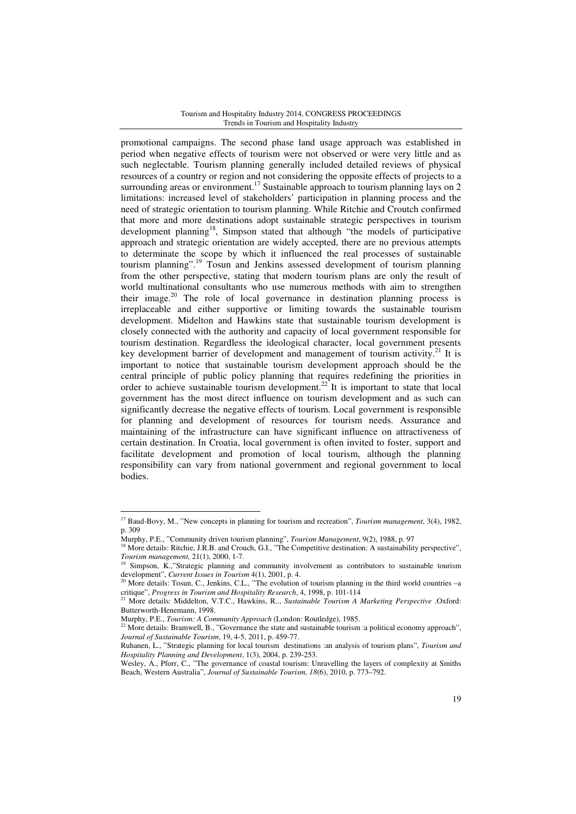promotional campaigns. The second phase land usage approach was established in period when negative effects of tourism were not observed or were very little and as such neglectable. Tourism planning generally included detailed reviews of physical resources of a country or region and not considering the opposite effects of projects to a surrounding areas or environment.<sup>17</sup> Sustainable approach to tourism planning lays on 2 limitations: increased level of stakeholders' participation in planning process and the need of strategic orientation to tourism planning. While Ritchie and Croutch confirmed that more and more destinations adopt sustainable strategic perspectives in tourism development planning<sup>18</sup>, Simpson stated that although "the models of participative approach and strategic orientation are widely accepted, there are no previous attempts to determinate the scope by which it influenced the real processes of sustainable tourism planning".<sup>19</sup> Tosun and Jenkins assessed development of tourism planning from the other perspective, stating that modern tourism plans are only the result of world multinational consultants who use numerous methods with aim to strengthen their image. $20$  The role of local governance in destination planning process is irreplaceable and either supportive or limiting towards the sustainable tourism development. Midelton and Hawkins state that sustainable tourism development is closely connected with the authority and capacity of local government responsible for tourism destination. Regardless the ideological character, local government presents key development barrier of development and management of tourism activity.<sup>21</sup> It is important to notice that sustainable tourism development approach should be the central principle of public policy planning that requires redefining the priorities in order to achieve sustainable tourism development.<sup>22</sup> It is important to state that local government has the most direct influence on tourism development and as such can significantly decrease the negative effects of tourism. Local government is responsible for planning and development of resources for tourism needs. Assurance and maintaining of the infrastructure can have significant influence on attractiveness of certain destination. In Croatia, local government is often invited to foster, support and facilitate development and promotion of local tourism, although the planning responsibility can vary from national government and regional government to local bodies.

 $\overline{\phantom{a}}$ 

<sup>17</sup> Baud-Bovy, M., "New concepts in planning for tourism and recreation", *Tourism management*, 3(4), 1982, p. 309

Murphy, P.E., "Community driven tourism planning", *Tourism Management*, 9(2), 1988, p. 97

<sup>&</sup>lt;sup>18</sup> More details: Ritchie, J.R.B. and Crouch, G.I., "The Competitive destination: A sustainability perspective", *Tourism management,* 21(1), 2000, 1-7.

Simpson, K.,"Strategic planning and community involvement as contributors to sustainable tourism development", *Current Issues in Tourism* 4(1), 2001, p. 4.

 $^{20}$  More details: Tosun, C., Jenkins, C.L., "The evolution of tourism planning in the third world countries –a critique", *Progress in Tourism and Hospitality Research*, 4, 1998, p. 101-114 <sup>21</sup> More details: Middelton, V.T.C., Hawkins, R.., *Sustainable Tourism A Marketing Perspective* .Oxford:

Butterworth-Henemann, 1998.

Murphy, P.E., *Tourism: A Community Approach* (London: Routledge), 1985.

<sup>&</sup>lt;sup>2</sup> More details: Bramwell, B., "Governance the state and sustainable tourism :a political economy approach", *Journal of Sustainable Tourism*, 19, 4-5, 2011, p. 459-77.

Ruhanen, L., "Strategic planning for local tourism destinations :an analysis of tourism plans", *Tourism and Hospitality Planning and Development*, 1(3), 2004, p. 239-253.

Wesley, A., Pforr, C., "The governance of coastal tourism: Unravelling the layers of complexity at Smiths Beach, Western Australia", *Journal of Sustainable Tourism, 18*(6), 2010, p. 773–792.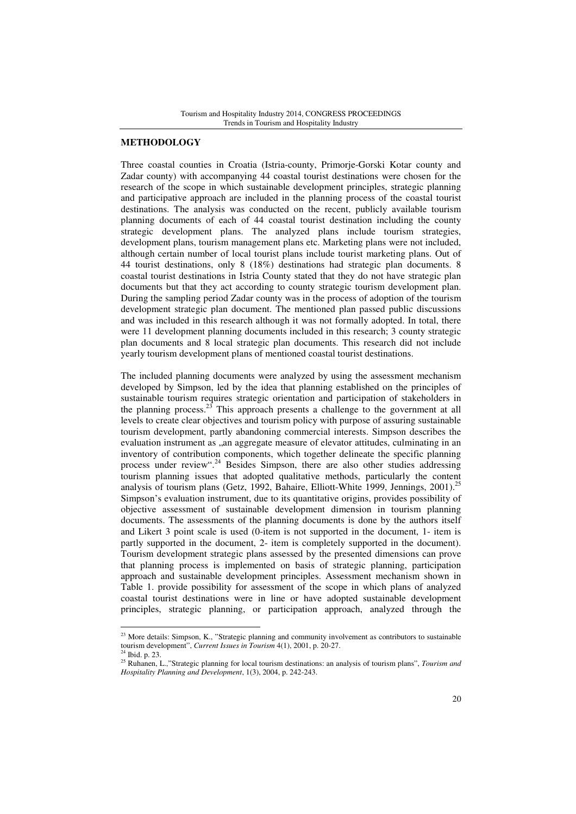### **METHODOLOGY**

Three coastal counties in Croatia (Istria-county, Primorje-Gorski Kotar county and Zadar county) with accompanying 44 coastal tourist destinations were chosen for the research of the scope in which sustainable development principles, strategic planning and participative approach are included in the planning process of the coastal tourist destinations. The analysis was conducted on the recent, publicly available tourism planning documents of each of 44 coastal tourist destination including the county strategic development plans. The analyzed plans include tourism strategies, development plans, tourism management plans etc. Marketing plans were not included, although certain number of local tourist plans include tourist marketing plans. Out of 44 tourist destinations, only 8 (18%) destinations had strategic plan documents. 8 coastal tourist destinations in Istria County stated that they do not have strategic plan documents but that they act according to county strategic tourism development plan. During the sampling period Zadar county was in the process of adoption of the tourism development strategic plan document. The mentioned plan passed public discussions and was included in this research although it was not formally adopted. In total, there were 11 development planning documents included in this research; 3 county strategic plan documents and 8 local strategic plan documents. This research did not include yearly tourism development plans of mentioned coastal tourist destinations.

The included planning documents were analyzed by using the assessment mechanism developed by Simpson, led by the idea that planning established on the principles of sustainable tourism requires strategic orientation and participation of stakeholders in the planning process.<sup>23</sup> This approach presents a challenge to the government at all levels to create clear objectives and tourism policy with purpose of assuring sustainable tourism development, partly abandoning commercial interests. Simpson describes the evaluation instrument as "an aggregate measure of elevator attitudes, culminating in an inventory of contribution components, which together delineate the specific planning process under review".<sup>24</sup> Besides Simpson, there are also other studies addressing tourism planning issues that adopted qualitative methods, particularly the content analysis of tourism plans (Getz, 1992, Bahaire, Elliott-White 1999, Jennings, 2001).<sup>25</sup> Simpson's evaluation instrument, due to its quantitative origins, provides possibility of objective assessment of sustainable development dimension in tourism planning documents. The assessments of the planning documents is done by the authors itself and Likert 3 point scale is used (0-item is not supported in the document, 1- item is partly supported in the document, 2- item is completely supported in the document). Tourism development strategic plans assessed by the presented dimensions can prove that planning process is implemented on basis of strategic planning, participation approach and sustainable development principles. Assessment mechanism shown in Table 1. provide possibility for assessment of the scope in which plans of analyzed coastal tourist destinations were in line or have adopted sustainable development principles, strategic planning, or participation approach, analyzed through the

l

<sup>&</sup>lt;sup>23</sup> More details: Simpson, K., "Strategic planning and community involvement as contributors to sustainable tourism development", *Current Issues in Tourism* 4(1), 2001, p. 20-27.<br><sup>24</sup> Thist n 220-27.

<sup>24</sup> Ibid. p. 23.

<sup>25</sup> Ruhanen, L.,"Strategic planning for local tourism destinations: an analysis of tourism plans", *Tourism and Hospitality Planning and Development*, 1(3), 2004, p. 242-243.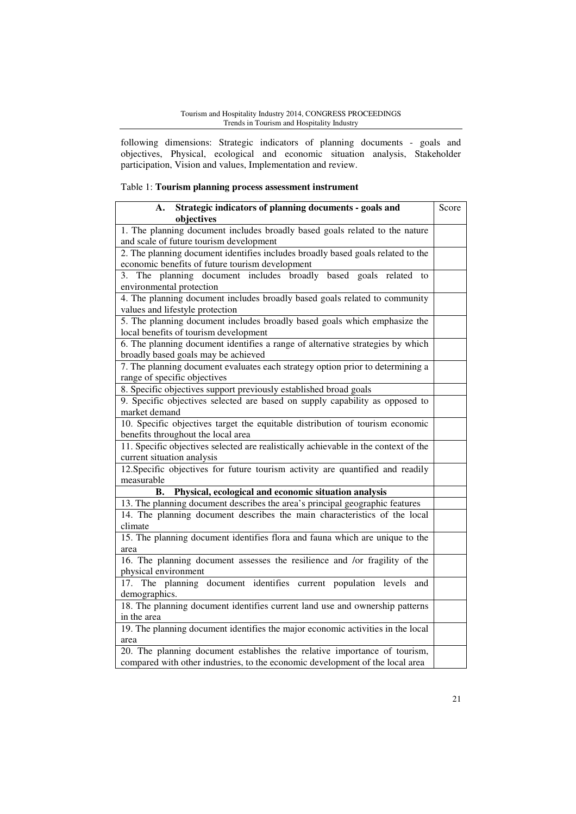following dimensions: Strategic indicators of planning documents - goals and objectives, Physical, ecological and economic situation analysis, Stakeholder participation, Vision and values, Implementation and review.

## Table 1: **Tourism planning process assessment instrument**

| Strategic indicators of planning documents - goals and<br>А.<br>objectives          | Score |
|-------------------------------------------------------------------------------------|-------|
| 1. The planning document includes broadly based goals related to the nature         |       |
| and scale of future tourism development                                             |       |
| 2. The planning document identifies includes broadly based goals related to the     |       |
| economic benefits of future tourism development                                     |       |
| 3. The planning document includes broadly based goals related to                    |       |
| environmental protection                                                            |       |
| 4. The planning document includes broadly based goals related to community          |       |
| values and lifestyle protection                                                     |       |
| 5. The planning document includes broadly based goals which emphasize the           |       |
| local benefits of tourism development                                               |       |
| 6. The planning document identifies a range of alternative strategies by which      |       |
| broadly based goals may be achieved                                                 |       |
| 7. The planning document evaluates each strategy option prior to determining a      |       |
| range of specific objectives                                                        |       |
| 8. Specific objectives support previously established broad goals                   |       |
| 9. Specific objectives selected are based on supply capability as opposed to        |       |
| market demand                                                                       |       |
| 10. Specific objectives target the equitable distribution of tourism economic       |       |
| benefits throughout the local area                                                  |       |
| 11. Specific objectives selected are realistically achievable in the context of the |       |
| current situation analysis                                                          |       |
| 12. Specific objectives for future tourism activity are quantified and readily      |       |
| measurable                                                                          |       |
| Physical, ecological and economic situation analysis<br>В.                          |       |
| 13. The planning document describes the area's principal geographic features        |       |
| 14. The planning document describes the main characteristics of the local           |       |
| climate                                                                             |       |
| 15. The planning document identifies flora and fauna which are unique to the        |       |
| area                                                                                |       |
| 16. The planning document assesses the resilience and /or fragility of the          |       |
| physical environment                                                                |       |
| 17. The planning document identifies current population levels and                  |       |
| demographics.                                                                       |       |
| 18. The planning document identifies current land use and ownership patterns        |       |
| in the area                                                                         |       |
| 19. The planning document identifies the major economic activities in the local     |       |
| area                                                                                |       |
| 20. The planning document establishes the relative importance of tourism,           |       |
| compared with other industries, to the economic development of the local area       |       |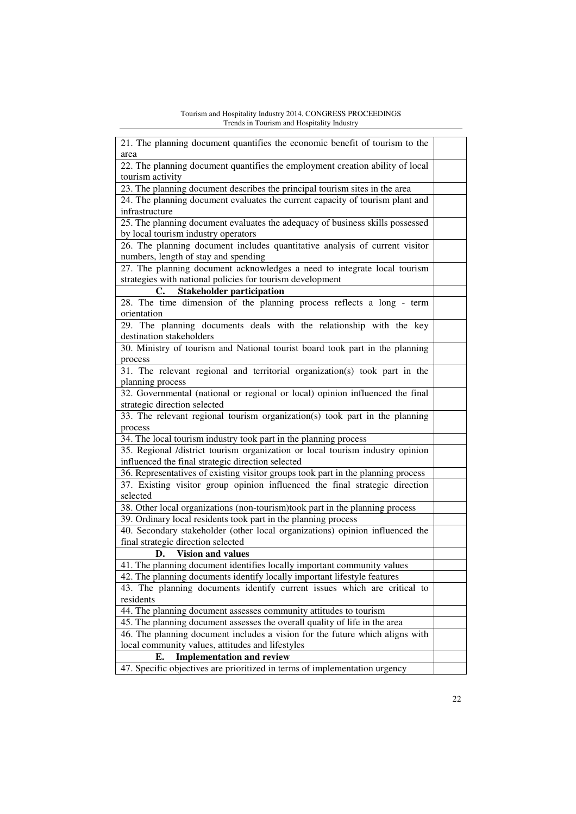| 21. The planning document quantifies the economic benefit of tourism to the      |  |
|----------------------------------------------------------------------------------|--|
| area                                                                             |  |
| 22. The planning document quantifies the employment creation ability of local    |  |
| tourism activity                                                                 |  |
| 23. The planning document describes the principal tourism sites in the area      |  |
| 24. The planning document evaluates the current capacity of tourism plant and    |  |
| infrastructure                                                                   |  |
| 25. The planning document evaluates the adequacy of business skills possessed    |  |
| by local tourism industry operators                                              |  |
| 26. The planning document includes quantitative analysis of current visitor      |  |
| numbers, length of stay and spending                                             |  |
| 27. The planning document acknowledges a need to integrate local tourism         |  |
| strategies with national policies for tourism development                        |  |
| <b>Stakeholder participation</b><br>C.                                           |  |
| 28. The time dimension of the planning process reflects a long - term            |  |
| orientation                                                                      |  |
| 29. The planning documents deals with the relationship with the key              |  |
| destination stakeholders                                                         |  |
| 30. Ministry of tourism and National tourist board took part in the planning     |  |
| process                                                                          |  |
| 31. The relevant regional and territorial organization(s) took part in the       |  |
| planning process                                                                 |  |
| 32. Governmental (national or regional or local) opinion influenced the final    |  |
| strategic direction selected                                                     |  |
| 33. The relevant regional tourism organization(s) took part in the planning      |  |
| process                                                                          |  |
| 34. The local tourism industry took part in the planning process                 |  |
| 35. Regional /district tourism organization or local tourism industry opinion    |  |
| influenced the final strategic direction selected                                |  |
| 36. Representatives of existing visitor groups took part in the planning process |  |
| 37. Existing visitor group opinion influenced the final strategic direction      |  |
| selected                                                                         |  |
| 38. Other local organizations (non-tourism)took part in the planning process     |  |
| 39. Ordinary local residents took part in the planning process                   |  |
| 40. Secondary stakeholder (other local organizations) opinion influenced the     |  |
| final strategic direction selected                                               |  |
| <b>Vision and values</b><br>D.                                                   |  |
| 41. The planning document identifies locally important community values          |  |
| 42. The planning documents identify locally important lifestyle features         |  |
| 43. The planning documents identify current issues which are critical to         |  |
| residents                                                                        |  |
| 44. The planning document assesses community attitudes to tourism                |  |
| 45. The planning document assesses the overall quality of life in the area       |  |
| 46. The planning document includes a vision for the future which aligns with     |  |
| local community values, attitudes and lifestyles                                 |  |
| <b>Implementation and review</b><br>E.                                           |  |
| 47. Specific objectives are prioritized in terms of implementation urgency       |  |
|                                                                                  |  |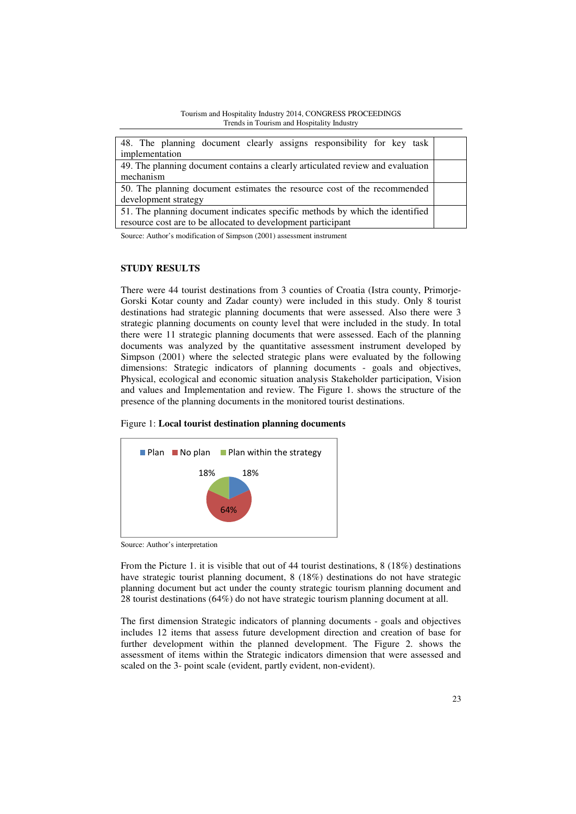| Tourism and Hospitality Industry 2014, CONGRESS PROCEEDINGS |
|-------------------------------------------------------------|
| Trends in Tourism and Hospitality Industry                  |

| 48. The planning document clearly assigns responsibility for key task          |  |
|--------------------------------------------------------------------------------|--|
| implementation                                                                 |  |
| 49. The planning document contains a clearly articulated review and evaluation |  |
| mechanism                                                                      |  |
| 50. The planning document estimates the resource cost of the recommended       |  |
| development strategy                                                           |  |
| 51. The planning document indicates specific methods by which the identified   |  |
| resource cost are to be allocated to development participant                   |  |
|                                                                                |  |

Source: Author's modification of Simpson (2001) assessment instrument

### **STUDY RESULTS**

There were 44 tourist destinations from 3 counties of Croatia (Istra county, Primorje-Gorski Kotar county and Zadar county) were included in this study. Only 8 tourist destinations had strategic planning documents that were assessed. Also there were 3 strategic planning documents on county level that were included in the study. In total there were 11 strategic planning documents that were assessed. Each of the planning documents was analyzed by the quantitative assessment instrument developed by Simpson (2001) where the selected strategic plans were evaluated by the following dimensions: Strategic indicators of planning documents - goals and objectives, Physical, ecological and economic situation analysis Stakeholder participation, Vision and values and Implementation and review. The Figure 1. shows the structure of the presence of the planning documents in the monitored tourist destinations.





Source: Author's interpretation

From the Picture 1. it is visible that out of 44 tourist destinations, 8 (18%) destinations have strategic tourist planning document, 8 (18%) destinations do not have strategic planning document but act under the county strategic tourism planning document and 28 tourist destinations (64%) do not have strategic tourism planning document at all.

The first dimension Strategic indicators of planning documents - goals and objectives includes 12 items that assess future development direction and creation of base for further development within the planned development. The Figure 2. shows the assessment of items within the Strategic indicators dimension that were assessed and scaled on the 3- point scale (evident, partly evident, non-evident).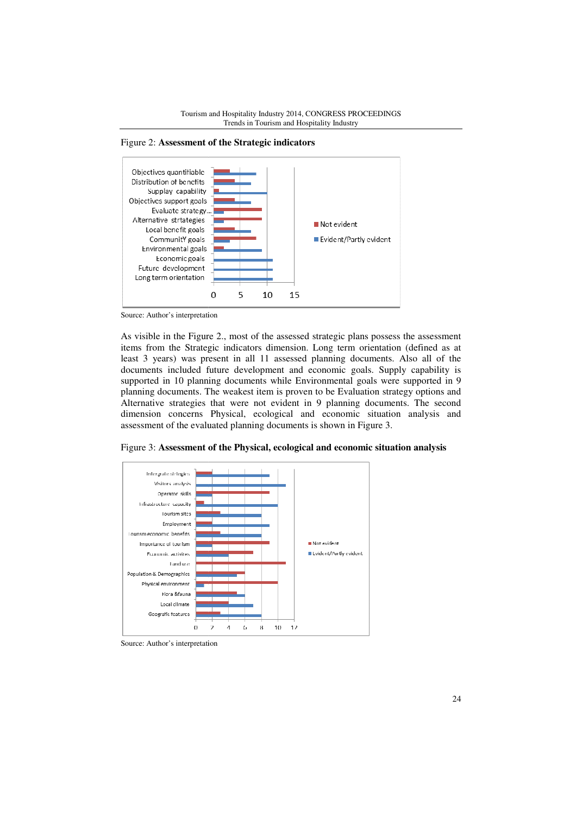





Source: Author's interpretation

As visible in the Figure 2 2., most of the assessed strategic plans possess the assessment items from the Strategic indicators dimension. Long term orientation (defined as at least 3 years) was present in all 11 assessed planning documents. Also all of the documents included future development and economic goals. Supply capability is supported in 10 planning documents while E Environmental goals were supported in 9 planning documents. The weakest item is proven to be Evaluation strategy options and Alternative strategies that were not evident in 9 planning documents. The second dimension concerns Physical, ecological and economic situation anal assessment of the evaluated planning documents is shown in Figure 3. possess the assessment<br>entation (defined as at<br>ments. Also all of the<br>.. Supply capability is<br>ls were supported in 9<br>on strategy options and<br>ocuments. The second<br>ituation analysis and

Figure 3: **Assessment of the Physical, ecological and economic situation analysis**



Source: Author's interpretation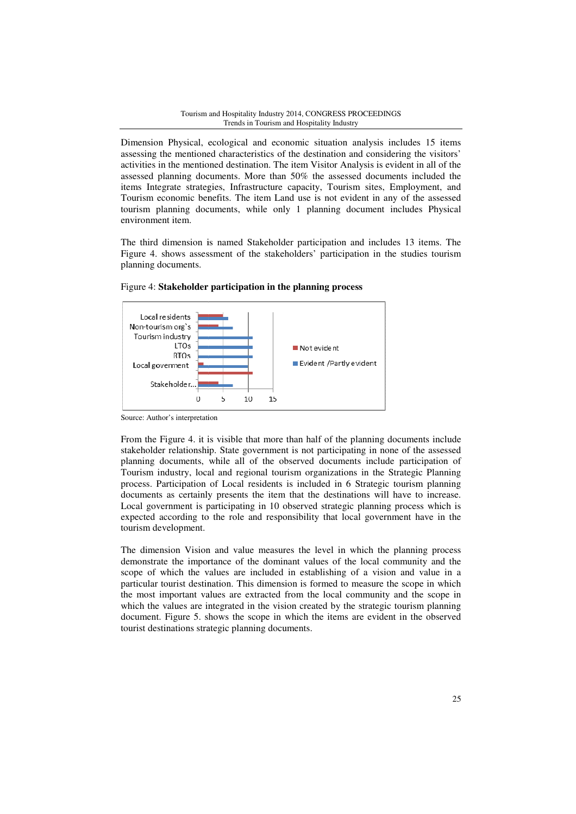Dimension Physical, ecological and economic situation analysis includes 15 items assessing the mentioned characteristics of the destination and considering the visitors' activities in the mentioned destination. The item Visitor Analysis is evident in all of the assessed planning documents. More than 50% the assessed documents included the items Integrate strategies, Infrastructure capacity, Tourism sites, Employment, and Tourism economic benefits. The item Land use is not evident in any of the assessed tourism planning documents, while only 1 planning document includes Physical environment item.

The third dimension is named Stakeholder participation and in includes 13 items. The Figure 4. shows assessment of the stakeholders' participation in the studies tourism planning documents.



Figure 4: Stakeholder participation in the planning process

Source: Author's interpretation

From the Figure 4. it is visible that more than half of the planning documents include stakeholder relationship. State government is not participating in none of the assessed planning documents, while all of the observed documents include participation of Tourism industry, local and regional tourism organizations in t the Strategic Planning process. Participation of Local residents is included in 6 Strategic tourism planning documents as certainly p presents the item that the destinations will have to increase. Local government is participating in 10 observed strategic planning process which is expected according to the role and responsibility that local government have in the tourism development. Iogical and economic situation analysis includes 15 items<br>
tharacteristics of the destination and considering the visitors'<br>
destination. The item Visitor Analysis is evident in all of the<br>
ents. More than 50% the assessed

The dimension Vision and value measures the level in which the planning process demonstrate the importance of the dominant values of the local community and the scope of which the values are included in establishing of a vision and value in a particular tourist destination. This dimension is formed to measure the scope in which the most important values are extracted from the local community and the scope in which the values are integrated in the vision created by the strategic tourism planning document. Figure 5. s hows tourist destinations strategic planning documents. st destination. This dimension is formed to measure the scope in which rtant values are extracted from the local community and the scope in es are integrated in the vision created by the strategic tourism planning ure 5. s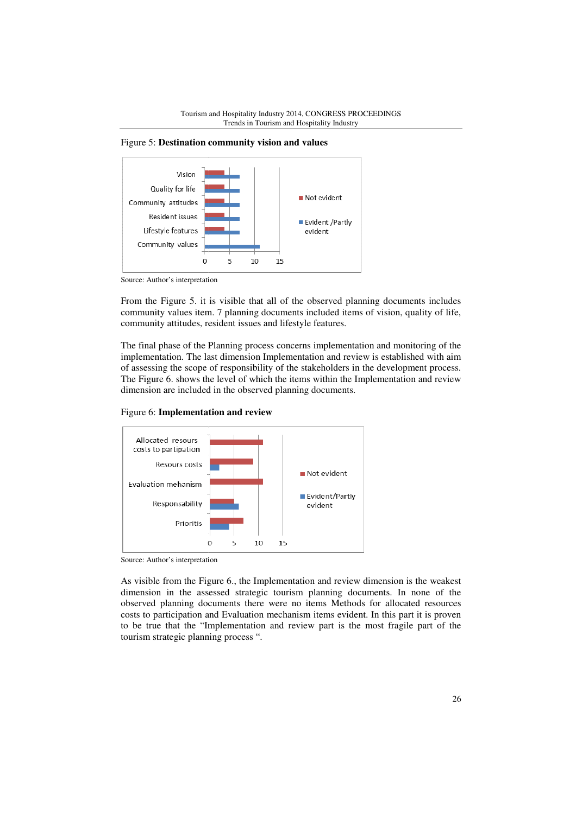Figure 5: **Destination community vision and values** 



Source: Author's interpretation

From the Figure 5. it is visible that all of the observed planning documents includes community values item. 7 planning documents included items of vision, quality of life, community attitudes, resident issues and lifestyle features.

The final phase of the Planning process concerns implementation and monitoring of the implementation. The last dimension Implementation and review is established with aim of assessing the scope of responsibility of the stakeholders in the development process. The Figure 6. shows the level of which the items within the Implementation and review dimension are included in the observed planning documents.





Source: Author's interpretation

As visible from the Figure 6., the Implementation and review dimension is the weakest dimension in the assessed strategic tourism planning documents. In none of the dimension in the assessed strategic tourism planning documents. In none of the observed planning documents there were no items Methods for allocated resources costs to participation and Evaluation mechanism items evident. In this part it is proven to be true that the "Implementation and review part is the most fragile part of the tourism strategic planning process ".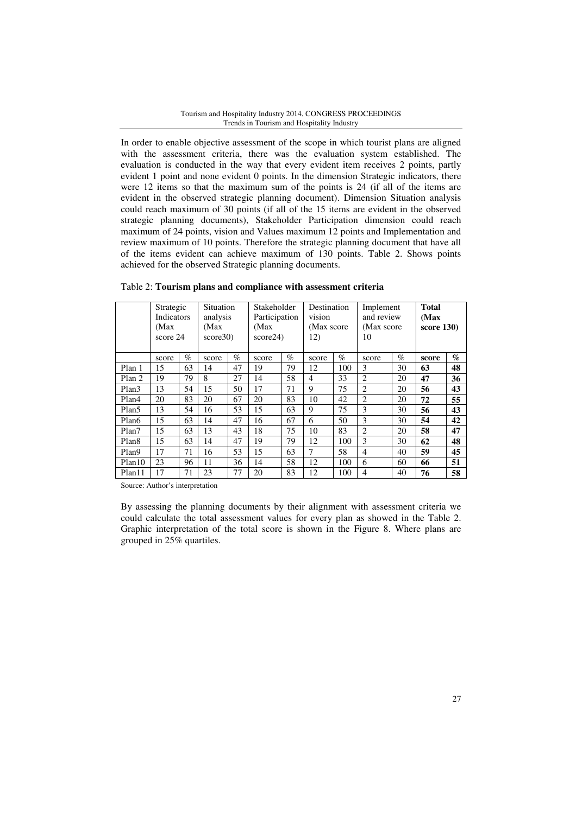In order to enable objective assessment of the scope in which tourist plans are aligned with the assessment criteria, there was the evaluation system established. The evaluation is conducted in the way that every evident item receives 2 points, partly evident 1 point and none evident 0 points. In the dimension Strategic indicators, there were 12 items so that the maximum sum of the points is 24 (if all of the items are evident in the observed strategic planning document). Dimension Situation analysis could reach maximum of 30 points (if all of the 15 items are evident in the observed strategic planning documents), Stakeholder Participation dimension could reach maximum of 24 points, vision and Values maximum 12 points and Implementation and review maximum of 10 points. Therefore the strategic planning document that have all of the items evident can achieve maximum of 130 points. Table 2. Shows points achieved for the observed Strategic planning documents.

|                    | Strategic<br>Indicators<br>(Max)<br>score 24 |      | Situation<br>analysis<br>(Max)<br>score30 |      | Stakeholder<br>Participation<br>(Max<br>score24) |      | vision<br>12)  | Destination<br>(Max score) |                | Implement<br>and review<br>(Max score)<br>10 |       | score $130$                 |
|--------------------|----------------------------------------------|------|-------------------------------------------|------|--------------------------------------------------|------|----------------|----------------------------|----------------|----------------------------------------------|-------|-----------------------------|
|                    | score                                        | $\%$ | score                                     | $\%$ | score                                            | $\%$ | score          | $\%$                       | score          | $\%$                                         | score | $\mathcal{O}_{\mathcal{O}}$ |
| Plan 1             | 15                                           | 63   | 14                                        | 47   | 19                                               | 79   | 12             | 100                        | 3              | 30                                           | 63    | 48                          |
| Plan 2             | 19                                           | 79   | 8                                         | 27   | 14                                               | 58   | $\overline{4}$ | 33                         | $\overline{c}$ | 20                                           | 47    | 36                          |
| Plan <sub>3</sub>  | 13                                           | 54   | 15                                        | 50   | 17                                               | 71   | 9              | 75                         | 2              | 20                                           | 56    | 43                          |
| Plan4              | 20                                           | 83   | 20                                        | 67   | 20                                               | 83   | 10             | 42                         | $\overline{c}$ | 20                                           | 72    | 55                          |
| Plan <sub>5</sub>  | 13                                           | 54   | 16                                        | 53   | 15                                               | 63   | 9              | 75                         | 3              | 30                                           | 56    | 43                          |
| Plan6              | 15                                           | 63   | 14                                        | 47   | 16                                               | 67   | 6              | 50                         | 3              | 30                                           | 54    | 42                          |
| Plan7              | 15                                           | 63   | 13                                        | 43   | 18                                               | 75   | 10             | 83                         | $\overline{c}$ | 20                                           | 58    | 47                          |
| Plan <sub>8</sub>  | 15                                           | 63   | 14                                        | 47   | 19                                               | 79   | 12             | 100                        | 3              | 30                                           | 62    | 48                          |
| Plan9              | 17                                           | 71   | 16                                        | 53   | 15                                               | 63   | 7              | 58                         | $\overline{4}$ | 40                                           | 59    | 45                          |
| Plan <sub>10</sub> | 23                                           | 96   | 11                                        | 36   | 14                                               | 58   | 12             | 100                        | 6              | 60                                           | 66    | 51                          |
| Plan11             | 17                                           | 71   | 23                                        | 77   | 20                                               | 83   | 12             | 100                        | 4              | 40                                           | 76    | 58                          |

Table 2: **Tourism plans and compliance with assessment criteria** 

Source: Author's interpretation

By assessing the planning documents by their alignment with assessment criteria we could calculate the total assessment values for every plan as showed in the Table 2. Graphic interpretation of the total score is shown in the Figure 8. Where plans are grouped in 25% quartiles.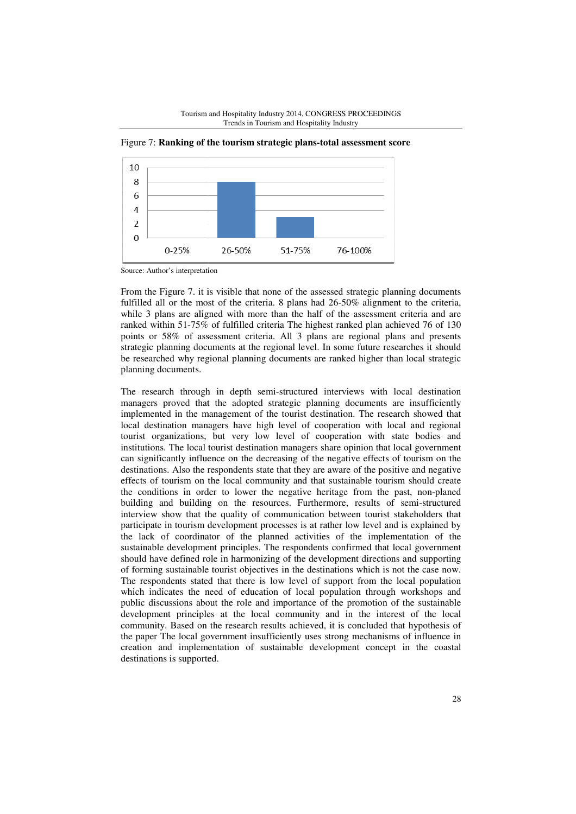



Figure 7: Ranking of the tourism strategic plans-total assessment score

From the Figure 7. it is visible that none of the assessed strategic planning documents fulfilled all or the most of the criteria. 8 plans had 26-50% alignment to the criteria, while 3 plans are aligned with more than the half of the assessment criteria and are ranked within 51-75% 75% of fulfilled criteria The highest ranked plan achieved 76 of 130 points or 58% of assessment criteria. All 3 plans are regional plans and presents strategic planning documents at the regional level. In some future researches it should be researched why regional planning documents are ranked higher than local strategic planning documents. s visible that none of the assessed strategic planning documents<br>st of the criteria. 8 plans had 26-50% alignment to the criteria,<br>ned with more than the half of the assessment criteria and are<br>of fulfilled criteria. The h

The research through in depth semi-structured interviews with local dest managers proved that the adopted strategic planning documents are insufficiently implemented in the management of the tourist destination. The research showed that local destination managers have high level of cooperation with local and regional tourist organizations, but very low level of cooperation with state bodies and institutions. The local tourist destination managers share opinion that local government can significantly influence on the decreasing of the negative effects of tourism on the destinations. Also the respondents state that they are aware of the positive and negative effects of tourism on the local community and that sustainable tourism should create the conditions in order to lower the negative heritage from the past, non-planed building and building on the resources. Furthermore, results of semi semi-structured interview show that the quality of communication between tourist stakeholders that participate in tourism development processes is at rather low level and is explained by the lack of coordinator of the planned activities of the implementation of the sustainable development principles. The respondents confirmed that local government should have defined role in harmonizing of the development directions and supporting of forming sustainable tourist objectives in the destinations which is not the case now. The respondents stated that there is low level of support from the local population which indicates the need of education of local population through workshops and public discussions about the role and importance of the promotion of the sustainable development principles at the lo local community and in the interest of the local community. Based on the research results achieved, it is concluded that hypothesis of the paper The local government insufficiently uses strong mechanisms of influence in creation and implementation of sustainable development concept in the coastal destinations is supported. mented in the management of the tourist destination. The research show<br>destination managers have high level of cooperation with local and r<br>t organizations, but very low level of cooperation with state bodi<br>utions. The loc uality of communication between tourist<br>lopment processes is at rather low level an<br>of the planned activities of the impler<br>rinciples. The respondents confirmed that<br>n harmonizing of the development direction<br>rist objectiv

Source: Author's interpretation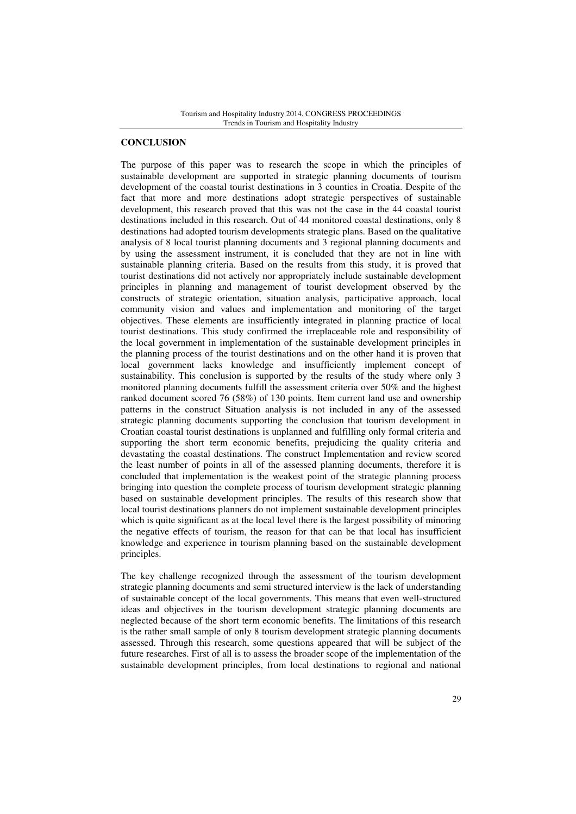### **CONCLUSION**

The purpose of this paper was to research the scope in which the principles of sustainable development are supported in strategic planning documents of tourism development of the coastal tourist destinations in 3 counties in Croatia. Despite of the fact that more and more destinations adopt strategic perspectives of sustainable development, this research proved that this was not the case in the 44 coastal tourist destinations included in this research. Out of 44 monitored coastal destinations, only 8 destinations had adopted tourism developments strategic plans. Based on the qualitative analysis of 8 local tourist planning documents and 3 regional planning documents and by using the assessment instrument, it is concluded that they are not in line with sustainable planning criteria. Based on the results from this study, it is proved that tourist destinations did not actively nor appropriately include sustainable development principles in planning and management of tourist development observed by the constructs of strategic orientation, situation analysis, participative approach, local community vision and values and implementation and monitoring of the target objectives. These elements are insufficiently integrated in planning practice of local tourist destinations. This study confirmed the irreplaceable role and responsibility of the local government in implementation of the sustainable development principles in the planning process of the tourist destinations and on the other hand it is proven that local government lacks knowledge and insufficiently implement concept of sustainability. This conclusion is supported by the results of the study where only 3 monitored planning documents fulfill the assessment criteria over 50% and the highest ranked document scored 76 (58%) of 130 points. Item current land use and ownership patterns in the construct Situation analysis is not included in any of the assessed strategic planning documents supporting the conclusion that tourism development in Croatian coastal tourist destinations is unplanned and fulfilling only formal criteria and supporting the short term economic benefits, prejudicing the quality criteria and devastating the coastal destinations. The construct Implementation and review scored the least number of points in all of the assessed planning documents, therefore it is concluded that implementation is the weakest point of the strategic planning process bringing into question the complete process of tourism development strategic planning based on sustainable development principles. The results of this research show that local tourist destinations planners do not implement sustainable development principles which is quite significant as at the local level there is the largest possibility of minoring the negative effects of tourism, the reason for that can be that local has insufficient knowledge and experience in tourism planning based on the sustainable development principles.

The key challenge recognized through the assessment of the tourism development strategic planning documents and semi structured interview is the lack of understanding of sustainable concept of the local governments. This means that even well-structured ideas and objectives in the tourism development strategic planning documents are neglected because of the short term economic benefits. The limitations of this research is the rather small sample of only 8 tourism development strategic planning documents assessed. Through this research, some questions appeared that will be subject of the future researches. First of all is to assess the broader scope of the implementation of the sustainable development principles, from local destinations to regional and national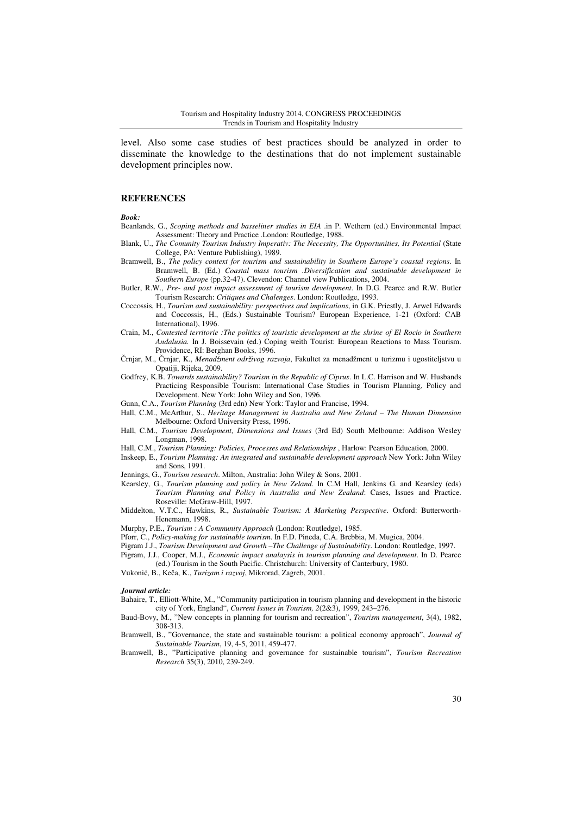level. Also some case studies of best practices should be analyzed in order to disseminate the knowledge to the destinations that do not implement sustainable development principles now.

#### **REFERENCES**

*Book:* 

- Beanlands, G., *Scoping methods and basseliner studies in EIA* .in P. Wethern (ed.) Environmental Impact Assessment: Theory and Practice .London: Routledge, 1988.
- Blank, U., *The Comunity Tourism Industry Imperativ: The Necessity, The Opportunities, Its Potential* (State College, PA: Venture Publishing), 1989.
- Bramwell, B., *The policy context for tourism and sustainability in Southern Europe's coastal regions.* In Bramwell, B. (Ed.) *Coastal mass tourism .Diversification and sustainable development in Southern Europe* (pp.32-47). Clevendon: Channel view Publications, 2004.
- Butler, R.W., *Pre- and post impact assessment of tourism development*. In D.G. Pearce and R.W. Butler Tourism Research: *Critiques and Chalenges*. London: Routledge, 1993.
- Coccossis, H., *Tourism and sustainability: perspectives and implications*, in G.K. Priestly, J. Arwel Edwards and Coccossis, H., (Eds.) Sustainable Tourism? European Experience, 1-21 (Oxford: CAB International), 1996.
- Crain, M., *Contested territorie :The politics of touristic development at the shrine of El Rocio in Southern Andalusia.* In J. Boissevain (ed.) Coping weith Tourist: European Reactions to Mass Tourism. Providence, RI: Berghan Books, 1996.
- Črnjar, M., Črnjar, K., *Menadžment održivog razvoja*, Fakultet za menadžment u turizmu i ugostiteljstvu u Opatiji, Rijeka, 2009.
- Godfrey, K.B. *Towards sustainability? Tourism in the Republic of Ciprus*. In L.C. Harrison and W. Husbands Practicing Responsible Tourism: International Case Studies in Tourism Planning, Policy and Development. New York: John Wiley and Son, 1996.
- Gunn, C.A., *Tourism Planning* (3rd edn) New York: Taylor and Francise, 1994.
- Hall, C.M., McArthur, S., *Heritage Management in Australia and New Zeland The Human Dimension*  Melbourne: Oxford University Press, 1996.
- Hall, C.M., *Tourism Development, Dimensions and Issues* (3rd Ed) South Melbourne: Addison Wesley Longman, 1998.
- Hall, C.M., *Tourism Planning: Policies, Processes and Relationships* , Harlow: Pearson Education, 2000.
- Inskeep, E., *Tourism Planning: An integrated and sustainable development approach* New York: John Wiley and Sons, 1991.
- Jennings, G., *Tourism research*. Milton, Australia: John Wiley & Sons, 2001.
- Kearsley, G., *Tourism planning and policy in New Zeland*. In C.M Hall, Jenkins G. and Kearsley (eds) *Tourism Planning and Policy in Australia and New Zealand*: Cases, Issues and Practice. Roseville: McGraw-Hill, 1997.
- Middelton, V.T.C., Hawkins, R., *Sustainable Tourism: A Marketing Perspective*. Oxford: Butterworth-Henemann, 1998.

Murphy, P.E., *Tourism : A Community Approach* (London: Routledge), 1985.

- Pforr, C., *Policy-making for sustainable tourism*. In F.D. Pineda, C.A. Brebbia, M. Mugica, 2004.
- Pigram J.J., *Tourism Development and Growth –The Challenge of Sustainability*. London: Routledge, 1997.
- Pigram, J.J., Cooper, M.J., *Economic impact analaysis in tourism planning and development*. In D. Pearce (ed.) Tourism in the South Pacific. Christchurch: University of Canterbury, 1980.
- Vukonić, B., Keča, K., *Turizam i razvoj*, Mikrorad, Zagreb, 2001.

#### *Journal article:*

- Bahaire, T., Elliott-White, M., "Community participation in tourism planning and development in the historic city of York, England", *Current Issues in Tourism, 2*(2&3), 1999, 243–276.
- Baud-Bovy, M., "New concepts in planning for tourism and recreation", *Tourism management*, 3(4), 1982, 308-313.
- Bramwell, B., "Governance, the state and sustainable tourism: a political economy approach", *Journal of Sustainable Tourism*, 19, 4-5, 2011, 459-477.
- Bramwell, B., "Participative planning and governance for sustainable tourism", *Tourism Recreation Research* 35(3), 2010, 239-249.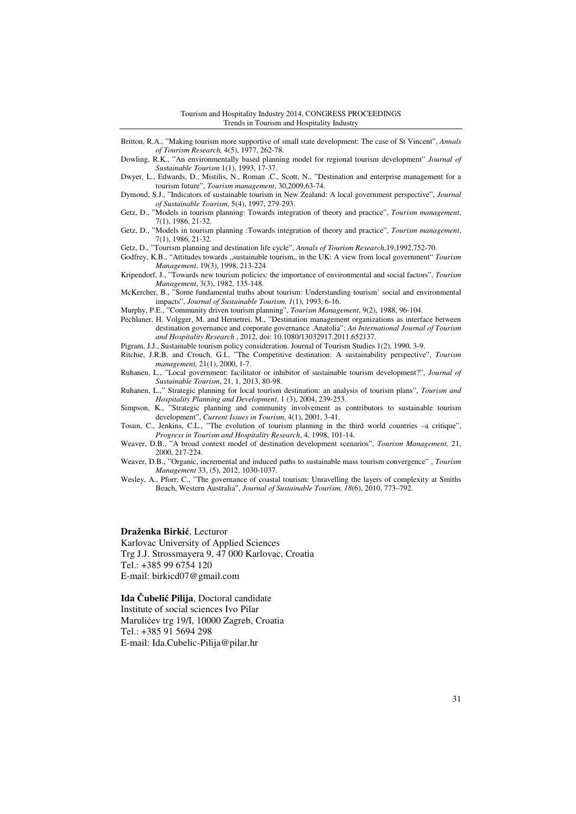- Britton, R.A., "Making tourism more supportive of small state development: The case of St Vincent", *Annals of Tourism Research,* 4(5), 1977, 262-78.
- Dowling, R.K., "An environmentally based planning model for regional tourism development" *Journal of Sustainable Tourism* 1(1), 1993, 17-37.
- Dwyer, L., Edwards, D., Mistilis, N., Roman ,C., Scott, N., "Destination and enterprise management for a tourism future", *Tourism management*, 30,2009,63-74.
- Dymond, S.J., "Indicators of sustainable tourism in New Zealand: A local government perspective", *Journal of Sustainable Tourism*, 5(4), 1997, 279-293.
- Getz, D., "Models in tourism planning: Towards integration of theory and practice", *Tourism management*, 7(1), 1986, 21-32.
- Getz, D., "Models in tourism planning :Towards integration of theory and practice", *Tourism management*, 7(1), 1986, 21-32.
- Getz, D., "Tourism planning and destination life cycle", *Annals of Tourism Research*,19,1992,752-70.
- Godfrey, K.B., "Attitudes towards "sustainable tourism,, in the UK: A view from local government" *Tourism Management*, 19(3), 1998, 213-224
- Kripendorf, J., "Towards new tourism policies: the importance of environmental and social factors", *Tourism Management*, 3(3), 1982, 135-148.
- McKercher, B., "Some fundamental truths about tourism: Understanding tourism' social and environmental impacts", *Journal of Sustainable Tourism, 1*(1), 1993, 6-16.
- Murphy, P.E., "Community driven tourism planning", *Tourism Management*, 9(2), 1988, 96-104.
- Pechlaner, H. Volgger, M. and Hernetrei, M., "Destination management organizations as interface between destination governance and corporate governance .Anatolia": *An International Journal of Tourism and Hospitality Research* , 2012, doi: 10.1080/13032917.2011.652137.
- Pigram, J.J., Sustainable tourism policy consideration. Journal of Tourism Studies 1(2), 1990, 3-9.
- Ritchie, J.R.B. and Crouch, G.I., "The Competitive destination: A sustainability perspective", *Tourism management,* 21(1), 2000, 1-7.
- Ruhanen, L., "Local government: facilitator or inhibitor of sustainable tourism development?", *Journal of Sustainable Tourism*, 21, 1, 2013, 80-98.
- Ruhanen, L.," Strategic planning for local tourism destination: an analysis of tourism plans", *Tourism and Hospitality Planning and Development*, 1 (3), 2004, 239-253.
- Simpson, K., "Strategic planning and community involvement as contributors to sustainable tourism development", *Current Issues in Tourism*, 4(1), 2001, 3-41.
- Tosun, C., Jenkins, C.L., "The evolution of tourism planning in the third world countries –a critique", *Progress in Tourism and Hospitality Research*, 4, 1998, 101-14.
- Weaver, D.B., "A broad context model of destination development scenarios", *Tourism Management,* 21, 2000, 217-224.
- Weaver, D.B., "Organic, incremental and induced paths to sustainable mass tourism convergence" , *Tourism Management* 33, (5), 2012, 1030-1037.
- Wesley, A., Pforr, C., "The governance of coastal tourism: Unravelling the layers of complexity at Smiths Beach, Western Australia", *Journal of Sustainable Tourism, 18*(6), 2010, 773–792.

### **Draženka Birki**ć, Lecturor

Karlovac University of Applied Sciences Trg J.J. Strossmayera 9, 47 000 Karlovac, Croatia Tel.: +385 99 6754 120 E-mail: birkicd07@gmail.com

**Ida** Č**ubeli**ć **Pilija**, Doctoral candidate Institute of social sciences Ivo Pilar Marulićev trg 19/I, 10000 Zagreb, Croatia Tel.: +385 91 5694 298 E-mail: Ida.Cubelic-Pilija@pilar.hr